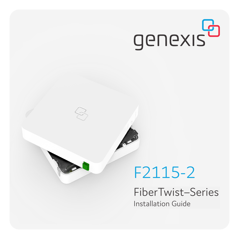# genexis<sup>B</sup>

## F2115-2

**Contract Street** 

FiberTwist–Series Installation Guide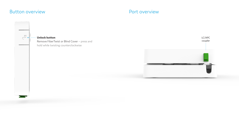## Button overview extensive properties and the Port overview

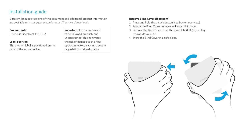## Installation guide

Different language versions of this document and additional product information are available on https://genexis.eu/product/fibertwist/downloads

#### **Box contents**

• Genexis FiberTwist-F2115-2

#### **Label position**

The product label is positioned on the back of the active device.

**Important:** Instructions need to be followed precisely and uninterrupted. This minimizes the risk of damage to the fiber optic connectors, causing a severe degradation of signal quality.

#### **Remove Blind Cover (if present)**

- 1. Press and hold the unlock button (see button overview).
- 2. Rotate the Blind Cover counterclockwise till it blocks.
- 3. Remove the Blind Cover from the baseplate (FTU) by pulling it towards yourself.
- 4. Store the Blind Cover in a safe place.

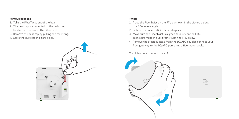#### **Remove dust cap**

- 1. Take the FiberTwist out of the box.
- 2. The dust cap is connected to the red string located on the rear of the FiberTwist.
- 3. Remove the dust cap by pulling the red string.
- 4. Store the dust cap in a safe place.



### **Twist!**

- 1. Place the FiberTwist on the FTU as shown in the picture below, in a 30–degree angle.
- 2. Rotate clockwise until it clicks into place.
- 3. Make sure the FiberTwist is aligned squarely on the FTU, each edge must line up directly with the FTU below.
- 4. Remove the green dustcap from the LC/APC coupler, connect your fiber gateway to the LC/APC port using a fiber patch cable.

Your FiberTwist is now installed!